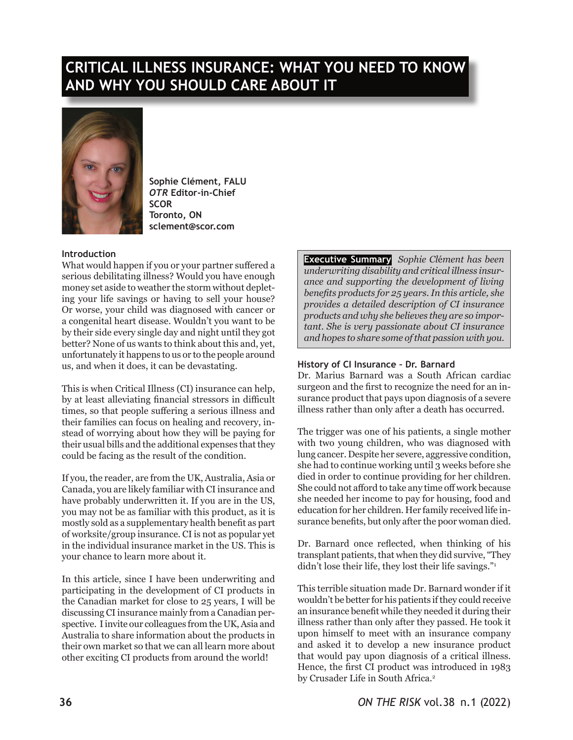# **CRITICAL ILLNESS INSURANCE: WHAT YOU NEED TO KNOW AND WHY YOU SHOULD CARE ABOUT IT**



**Sophie Clément, FALU** *OTR* **Editor-in-Chief SCOR Toronto, ON sclement@scor.com**

## **Introduction**

What would happen if you or your partner suffered a serious debilitating illness? Would you have enough money set aside to weather the storm without depleting your life savings or having to sell your house? Or worse, your child was diagnosed with cancer or a congenital heart disease. Wouldn't you want to be by their side every single day and night until they got better? None of us wants to think about this and, yet, unfortunately it happens to us or to the people around us, and when it does, it can be devastating.

This is when Critical Illness (CI) insurance can help, by at least alleviating financial stressors in difficult times, so that people suffering a serious illness and their families can focus on healing and recovery, instead of worrying about how they will be paying for their usual bills and the additional expenses that they could be facing as the result of the condition.

If you, the reader, are from the UK, Australia, Asia or Canada, you are likely familiar with CI insurance and have probably underwritten it. If you are in the US, you may not be as familiar with this product, as it is mostly sold as a supplementary health benefit as part of worksite/group insurance. CI is not as popular yet in the individual insurance market in the US. This is your chance to learn more about it.

In this article, since I have been underwriting and participating in the development of CI products in the Canadian market for close to 25 years, I will be discussing CI insurance mainly from a Canadian perspective. I invite our colleagues from the UK, Asia and Australia to share information about the products in their own market so that we can all learn more about other exciting CI products from around the world!

**Executive Summary** *Sophie Cl*é*ment has been underwriting disability and critical illness insurance and supporting the development of living benefits products for 25 years. In this article, she provides a detailed description of CI insurance products and why she believes they are so important. She is very passionate about CI insurance and hopes to share some of that passion with you.*

## **History of CI Insurance – Dr. Barnard**

Dr. Marius Barnard was a South African cardiac surgeon and the first to recognize the need for an insurance product that pays upon diagnosis of a severe illness rather than only after a death has occurred.

The trigger was one of his patients, a single mother with two young children, who was diagnosed with lung cancer. Despite her severe, aggressive condition, she had to continue working until 3 weeks before she died in order to continue providing for her children. She could not afford to take any time off work because she needed her income to pay for housing, food and education for her children. Her family received life insurance benefits, but only after the poor woman died.

Dr. Barnard once reflected, when thinking of his transplant patients, that when they did survive, "They didn't lose their life, they lost their life savings."<sup>1</sup>

This terrible situation made Dr. Barnard wonder if it wouldn't be better for his patients if they could receive an insurance benefit while they needed it during their illness rather than only after they passed. He took it upon himself to meet with an insurance company and asked it to develop a new insurance product that would pay upon diagnosis of a critical illness. Hence, the first CI product was introduced in 1983 by Crusader Life in South Africa.<sup>2</sup>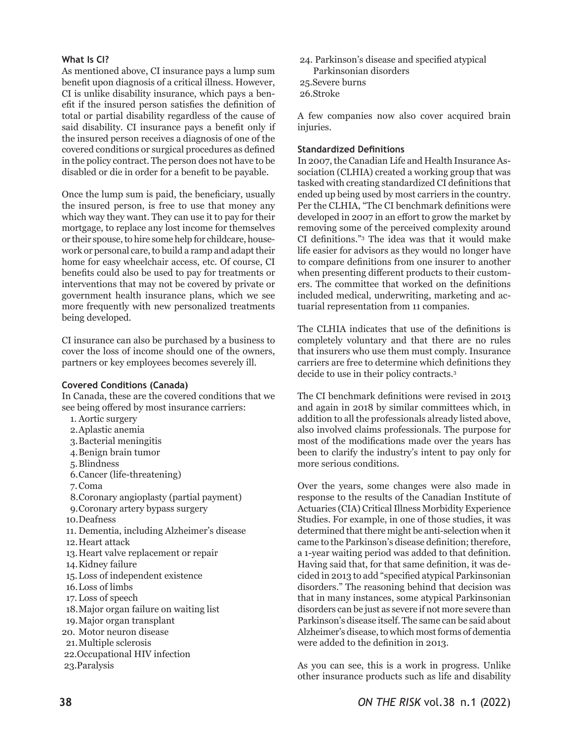#### **What Is CI?**

As mentioned above, CI insurance pays a lump sum benefit upon diagnosis of a critical illness. However, CI is unlike disability insurance, which pays a benefit if the insured person satisfies the definition of total or partial disability regardless of the cause of said disability. CI insurance pays a benefit only if the insured person receives a diagnosis of one of the covered conditions or surgical procedures as defined in the policy contract. The person does not have to be disabled or die in order for a benefit to be payable.

Once the lump sum is paid, the beneficiary, usually the insured person, is free to use that money any which way they want. They can use it to pay for their mortgage, to replace any lost income for themselves or their spouse, to hire some help for childcare, housework or personal care, to build a ramp and adapt their home for easy wheelchair access, etc. Of course, CI benefits could also be used to pay for treatments or interventions that may not be covered by private or government health insurance plans, which we see more frequently with new personalized treatments being developed.

CI insurance can also be purchased by a business to cover the loss of income should one of the owners, partners or key employees becomes severely ill.

#### **Covered Conditions (Canada)**

In Canada, these are the covered conditions that we see being offered by most insurance carriers:

- 1. Aortic surgery
- 2.Aplastic anemia
- 3.Bacterial meningitis
- 4.Benign brain tumor
- 5.Blindness
- 6.Cancer (life-threatening)
- 7.Coma
- 8.Coronary angioplasty (partial payment)
- 9.Coronary artery bypass surgery
- 10.Deafness
- 11. Dementia, including Alzheimer's disease
- 12.Heart attack
- 13.Heart valve replacement or repair
- 14.Kidney failure
- 15.Loss of independent existence
- 16.Loss of limbs
- 17.Loss of speech
- 18.Major organ failure on waiting list
- 19.Major organ transplant
- 20. Motor neuron disease
- 21.Multiple sclerosis
- 22.Occupational HIV infection
- 23.Paralysis
- 24. Parkinson's disease and specified atypical Parkinsonian disorders
- 25.Severe burns
- 26.Stroke

A few companies now also cover acquired brain injuries.

#### **Standardized Definitions**

In 2007, the Canadian Life and Health Insurance Association (CLHIA) created a working group that was tasked with creating standardized CI definitions that ended up being used by most carriers in the country. Per the CLHIA, "The CI benchmark definitions were developed in 2007 in an effort to grow the market by removing some of the perceived complexity around CI definitions."<sup>3</sup> The idea was that it would make life easier for advisors as they would no longer have to compare definitions from one insurer to another when presenting different products to their customers. The committee that worked on the definitions included medical, underwriting, marketing and actuarial representation from 11 companies.

The CLHIA indicates that use of the definitions is completely voluntary and that there are no rules that insurers who use them must comply. Insurance carriers are free to determine which definitions they decide to use in their policy contracts.3

The CI benchmark definitions were revised in 2013 and again in 2018 by similar committees which, in addition to all the professionals already listed above, also involved claims professionals. The purpose for most of the modifications made over the years has been to clarify the industry's intent to pay only for more serious conditions.

Over the years, some changes were also made in response to the results of the Canadian Institute of Actuaries (CIA) Critical Illness Morbidity Experience Studies. For example, in one of those studies, it was determined that there might be anti-selection when it came to the Parkinson's disease definition; therefore, a 1-year waiting period was added to that definition. Having said that, for that same definition, it was decided in 2013 to add "specified atypical Parkinsonian disorders." The reasoning behind that decision was that in many instances, some atypical Parkinsonian disorders can be just as severe if not more severe than Parkinson's disease itself. The same can be said about Alzheimer's disease, to which most forms of dementia were added to the definition in 2013.

As you can see, this is a work in progress. Unlike other insurance products such as life and disability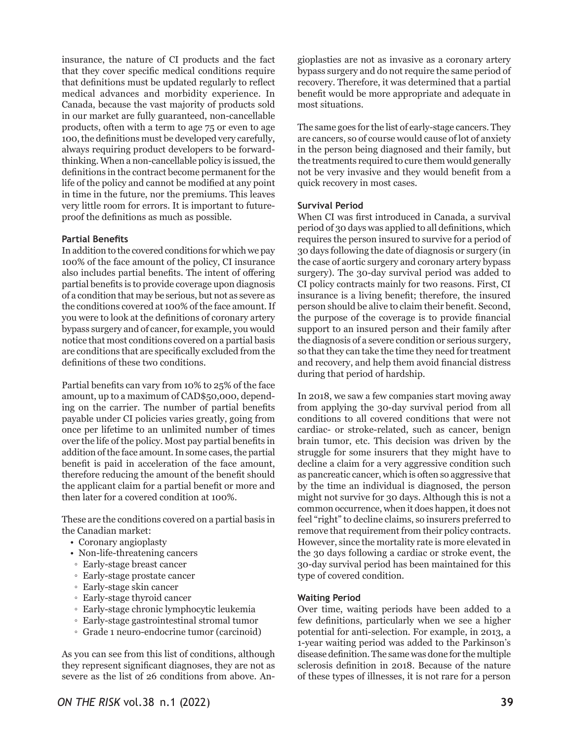insurance, the nature of CI products and the fact that they cover specific medical conditions require that definitions must be updated regularly to reflect medical advances and morbidity experience. In Canada, because the vast majority of products sold in our market are fully guaranteed, non-cancellable products, often with a term to age 75 or even to age 100, the definitions must be developed very carefully, always requiring product developers to be forwardthinking. When a non-cancellable policy is issued, the definitions in the contract become permanent for the life of the policy and cannot be modified at any point in time in the future, nor the premiums. This leaves very little room for errors. It is important to futureproof the definitions as much as possible.

#### **Partial Benefits**

In addition to the covered conditions for which we pay 100% of the face amount of the policy, CI insurance also includes partial benefits. The intent of offering partial benefits is to provide coverage upon diagnosis of a condition that may be serious, but not as severe as the conditions covered at 100% of the face amount. If you were to look at the definitions of coronary artery bypass surgery and of cancer, for example, you would notice that most conditions covered on a partial basis are conditions that are specifically excluded from the definitions of these two conditions.

Partial benefits can vary from 10% to 25% of the face amount, up to a maximum of CAD\$50,000, depending on the carrier. The number of partial benefits payable under CI policies varies greatly, going from once per lifetime to an unlimited number of times over the life of the policy. Most pay partial benefits in addition of the face amount. In some cases, the partial benefit is paid in acceleration of the face amount, therefore reducing the amount of the benefit should the applicant claim for a partial benefit or more and then later for a covered condition at 100%.

These are the conditions covered on a partial basis in the Canadian market:

- Coronary angioplasty
- Non-life-threatening cancers
- Early-stage breast cancer
- Early-stage prostate cancer
- Early-stage skin cancer
- Early-stage thyroid cancer
- Early-stage chronic lymphocytic leukemia
- Early-stage gastrointestinal stromal tumor
- Grade 1 neuro-endocrine tumor (carcinoid)

As you can see from this list of conditions, although they represent significant diagnoses, they are not as severe as the list of 26 conditions from above. Angioplasties are not as invasive as a coronary artery bypass surgery and do not require the same period of recovery. Therefore, it was determined that a partial benefit would be more appropriate and adequate in most situations.

The same goes for the list of early-stage cancers. They are cancers, so of course would cause of lot of anxiety in the person being diagnosed and their family, but the treatments required to cure them would generally not be very invasive and they would benefit from a quick recovery in most cases.

#### **Survival Period**

When CI was first introduced in Canada, a survival period of 30 days was applied to all definitions, which requires the person insured to survive for a period of 30 days following the date of diagnosis or surgery (in the case of aortic surgery and coronary artery bypass surgery). The 30-day survival period was added to CI policy contracts mainly for two reasons. First, CI insurance is a living benefit; therefore, the insured person should be alive to claim their benefit. Second, the purpose of the coverage is to provide financial support to an insured person and their family after the diagnosis of a severe condition or serious surgery, so that they can take the time they need for treatment and recovery, and help them avoid financial distress during that period of hardship.

In 2018, we saw a few companies start moving away from applying the 30-day survival period from all conditions to all covered conditions that were not cardiac- or stroke-related, such as cancer, benign brain tumor, etc. This decision was driven by the struggle for some insurers that they might have to decline a claim for a very aggressive condition such as pancreatic cancer, which is often so aggressive that by the time an individual is diagnosed, the person might not survive for 30 days. Although this is not a common occurrence, when it does happen, it does not feel "right" to decline claims, so insurers preferred to remove that requirement from their policy contracts. However, since the mortality rate is more elevated in the 30 days following a cardiac or stroke event, the 30-day survival period has been maintained for this type of covered condition.

#### **Waiting Period**

Over time, waiting periods have been added to a few definitions, particularly when we see a higher potential for anti-selection. For example, in 2013, a 1-year waiting period was added to the Parkinson's disease definition. The same was done for the multiple sclerosis definition in 2018. Because of the nature of these types of illnesses, it is not rare for a person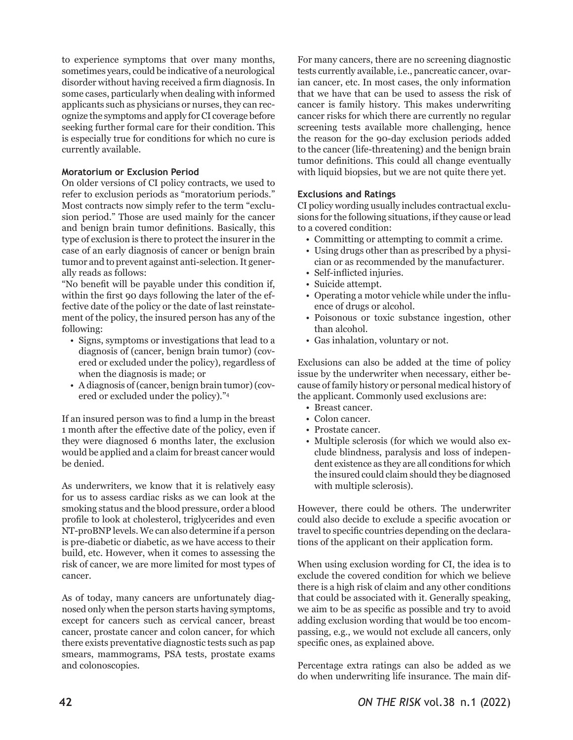to experience symptoms that over many months, sometimes years, could be indicative of a neurological disorder without having received a firm diagnosis. In some cases, particularly when dealing with informed applicants such as physicians or nurses, they can recognize the symptoms and apply for CI coverage before seeking further formal care for their condition. This is especially true for conditions for which no cure is currently available.

## **Moratorium or Exclusion Period**

On older versions of CI policy contracts, we used to refer to exclusion periods as "moratorium periods." Most contracts now simply refer to the term "exclusion period." Those are used mainly for the cancer and benign brain tumor definitions. Basically, this type of exclusion is there to protect the insurer in the case of an early diagnosis of cancer or benign brain tumor and to prevent against anti-selection. It generally reads as follows:

"No benefit will be payable under this condition if, within the first 90 days following the later of the effective date of the policy or the date of last reinstatement of the policy, the insured person has any of the following:

- Signs, symptoms or investigations that lead to a diagnosis of (cancer, benign brain tumor) (covered or excluded under the policy), regardless of when the diagnosis is made; or
- A diagnosis of (cancer, benign brain tumor) (covered or excluded under the policy)."4

If an insured person was to find a lump in the breast 1 month after the effective date of the policy, even if they were diagnosed 6 months later, the exclusion would be applied and a claim for breast cancer would be denied.

As underwriters, we know that it is relatively easy for us to assess cardiac risks as we can look at the smoking status and the blood pressure, order a blood profile to look at cholesterol, triglycerides and even NT-proBNP levels. We can also determine if a person is pre-diabetic or diabetic, as we have access to their build, etc. However, when it comes to assessing the risk of cancer, we are more limited for most types of cancer.

As of today, many cancers are unfortunately diagnosed only when the person starts having symptoms, except for cancers such as cervical cancer, breast cancer, prostate cancer and colon cancer, for which there exists preventative diagnostic tests such as pap smears, mammograms, PSA tests, prostate exams and colonoscopies.

For many cancers, there are no screening diagnostic tests currently available, i.e., pancreatic cancer, ovarian cancer, etc. In most cases, the only information that we have that can be used to assess the risk of cancer is family history. This makes underwriting cancer risks for which there are currently no regular screening tests available more challenging, hence the reason for the 90-day exclusion periods added to the cancer (life-threatening) and the benign brain tumor definitions. This could all change eventually with liquid biopsies, but we are not quite there yet.

#### **Exclusions and Ratings**

CI policy wording usually includes contractual exclusions for the following situations, if they cause or lead to a covered condition:

- Committing or attempting to commit a crime.
- Using drugs other than as prescribed by a physician or as recommended by the manufacturer.
- Self-inflicted injuries.
- Suicide attempt.
- Operating a motor vehicle while under the influence of drugs or alcohol.
- Poisonous or toxic substance ingestion, other than alcohol.
- Gas inhalation, voluntary or not.

Exclusions can also be added at the time of policy issue by the underwriter when necessary, either because of family history or personal medical history of the applicant. Commonly used exclusions are:

- Breast cancer.
- Colon cancer.
- Prostate cancer.
- Multiple sclerosis (for which we would also exclude blindness, paralysis and loss of independent existence as they are all conditions for which the insured could claim should they be diagnosed with multiple sclerosis).

However, there could be others. The underwriter could also decide to exclude a specific avocation or travel to specific countries depending on the declarations of the applicant on their application form.

When using exclusion wording for CI, the idea is to exclude the covered condition for which we believe there is a high risk of claim and any other conditions that could be associated with it. Generally speaking, we aim to be as specific as possible and try to avoid adding exclusion wording that would be too encompassing, e.g., we would not exclude all cancers, only specific ones, as explained above.

Percentage extra ratings can also be added as we do when underwriting life insurance. The main dif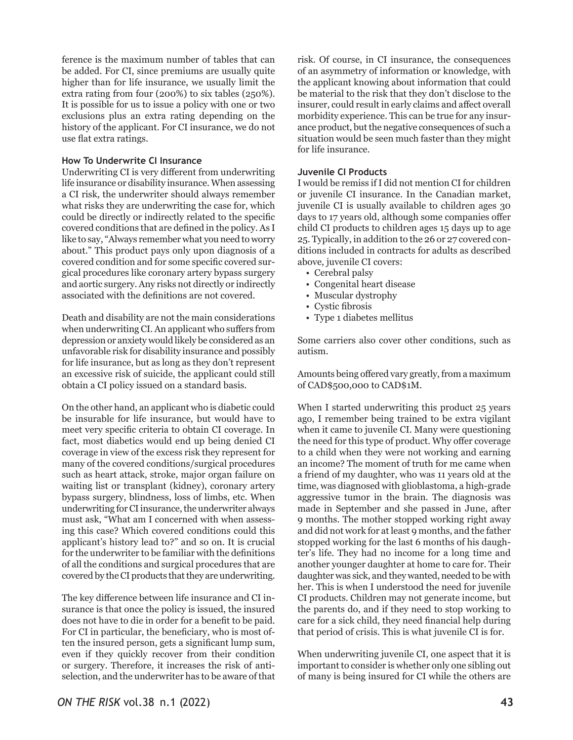ference is the maximum number of tables that can be added. For CI, since premiums are usually quite higher than for life insurance, we usually limit the extra rating from four (200%) to six tables (250%). It is possible for us to issue a policy with one or two exclusions plus an extra rating depending on the history of the applicant. For CI insurance, we do not use flat extra ratings.

#### **How To Underwrite CI Insurance**

Underwriting CI is very different from underwriting life insurance or disability insurance. When assessing a CI risk, the underwriter should always remember what risks they are underwriting the case for, which could be directly or indirectly related to the specific covered conditions that are defined in the policy. As I like to say, "Always remember what you need to worry about." This product pays only upon diagnosis of a covered condition and for some specific covered surgical procedures like coronary artery bypass surgery and aortic surgery. Any risks not directly or indirectly associated with the definitions are not covered.

Death and disability are not the main considerations when underwriting CI. An applicant who suffers from depression or anxiety would likely be considered as an unfavorable risk for disability insurance and possibly for life insurance, but as long as they don't represent an excessive risk of suicide, the applicant could still obtain a CI policy issued on a standard basis.

On the other hand, an applicant who is diabetic could be insurable for life insurance, but would have to meet very specific criteria to obtain CI coverage. In fact, most diabetics would end up being denied CI coverage in view of the excess risk they represent for many of the covered conditions/surgical procedures such as heart attack, stroke, major organ failure on waiting list or transplant (kidney), coronary artery bypass surgery, blindness, loss of limbs, etc. When underwriting for CI insurance, the underwriter always must ask, "What am I concerned with when assessing this case? Which covered conditions could this applicant's history lead to?" and so on. It is crucial for the underwriter to be familiar with the definitions of all the conditions and surgical procedures that are covered by the CI products that they are underwriting.

The key difference between life insurance and CI insurance is that once the policy is issued, the insured does not have to die in order for a benefit to be paid. For CI in particular, the beneficiary, who is most often the insured person, gets a significant lump sum, even if they quickly recover from their condition or surgery. Therefore, it increases the risk of antiselection, and the underwriter has to be aware of that

risk. Of course, in CI insurance, the consequences of an asymmetry of information or knowledge, with the applicant knowing about information that could be material to the risk that they don't disclose to the insurer, could result in early claims and affect overall morbidity experience. This can be true for any insurance product, but the negative consequences of such a situation would be seen much faster than they might for life insurance.

## **Juvenile CI Products**

I would be remiss if I did not mention CI for children or juvenile CI insurance. In the Canadian market, juvenile CI is usually available to children ages 30 days to 17 years old, although some companies offer child CI products to children ages 15 days up to age 25. Typically, in addition to the 26 or 27 covered conditions included in contracts for adults as described above, juvenile CI covers:

- Cerebral palsy
- Congenital heart disease
- Muscular dystrophy
- Cystic fibrosis
- Type 1 diabetes mellitus

Some carriers also cover other conditions, such as autism.

Amounts being offered vary greatly, from a maximum of CAD\$500,000 to CAD\$1M.

When I started underwriting this product 25 years ago, I remember being trained to be extra vigilant when it came to juvenile CI. Many were questioning the need for this type of product. Why offer coverage to a child when they were not working and earning an income? The moment of truth for me came when a friend of my daughter, who was 11 years old at the time, was diagnosed with glioblastoma, a high-grade aggressive tumor in the brain. The diagnosis was made in September and she passed in June, after 9 months. The mother stopped working right away and did not work for at least 9 months, and the father stopped working for the last 6 months of his daughter's life. They had no income for a long time and another younger daughter at home to care for. Their daughter was sick, and they wanted, needed to be with her. This is when I understood the need for juvenile CI products. Children may not generate income, but the parents do, and if they need to stop working to care for a sick child, they need financial help during that period of crisis. This is what juvenile CI is for.

When underwriting juvenile CI, one aspect that it is important to consider is whether only one sibling out of many is being insured for CI while the others are